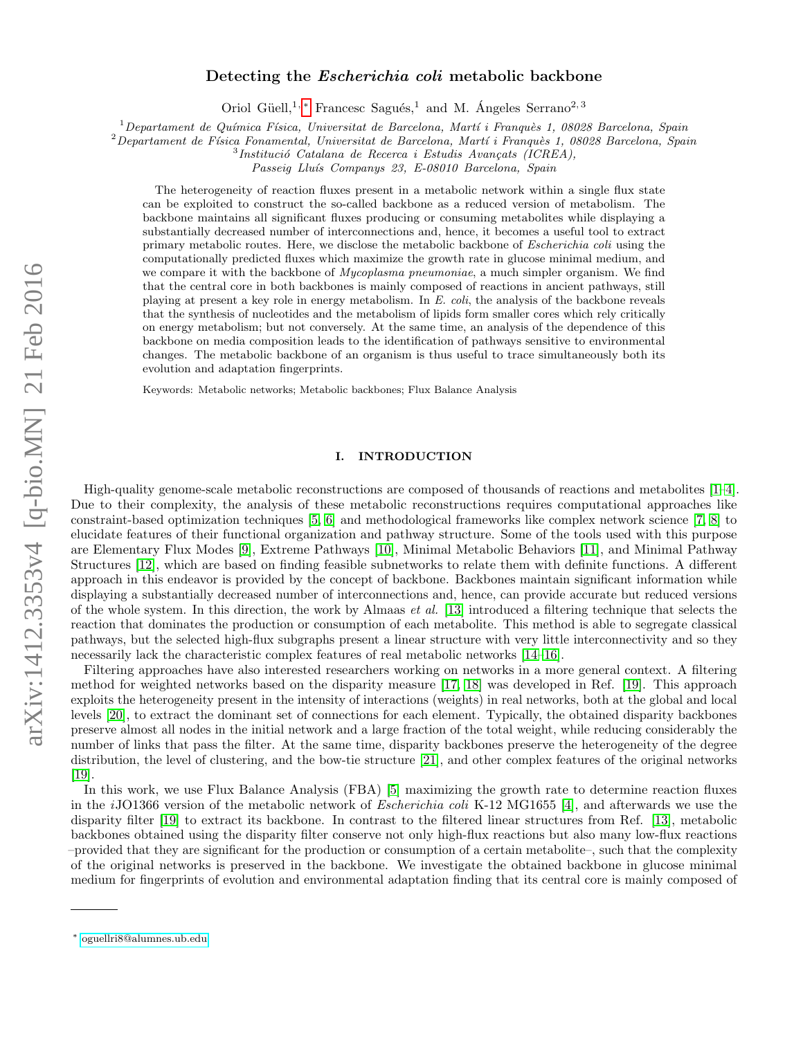# arXiv:1412.3353v4 [q-bio.MN] 21 Feb 2016 arXiv:1412.3353v4 [q-bio.MN] 21 Feb 2016

# Detecting the *Escherichia coli* metabolic backbone

Oriol Güell,<sup>1, [∗](#page-0-0)</sup> Francesc Sagués,<sup>1</sup> and M. Angeles Serrano<sup>2, 3</sup>

 $1$ Departament de Química Física, Universitat de Barcelona, Martí i Franquès 1, 08028 Barcelona, Spain

 $2$ Departament de Física Fonamental, Universitat de Barcelona, Martí i Franquès 1, 08028 Barcelona, Spain

 $3$ Institució Catalana de Recerca i Estudis Avançats (ICREA),

Passeig Lluís Companys 23, E-08010 Barcelona, Spain

The heterogeneity of reaction fluxes present in a metabolic network within a single flux state can be exploited to construct the so-called backbone as a reduced version of metabolism. The backbone maintains all significant fluxes producing or consuming metabolites while displaying a substantially decreased number of interconnections and, hence, it becomes a useful tool to extract primary metabolic routes. Here, we disclose the metabolic backbone of Escherichia coli using the computationally predicted fluxes which maximize the growth rate in glucose minimal medium, and we compare it with the backbone of *Mycoplasma pneumoniae*, a much simpler organism. We find that the central core in both backbones is mainly composed of reactions in ancient pathways, still playing at present a key role in energy metabolism. In E. coli, the analysis of the backbone reveals that the synthesis of nucleotides and the metabolism of lipids form smaller cores which rely critically on energy metabolism; but not conversely. At the same time, an analysis of the dependence of this backbone on media composition leads to the identification of pathways sensitive to environmental changes. The metabolic backbone of an organism is thus useful to trace simultaneously both its evolution and adaptation fingerprints.

Keywords: Metabolic networks; Metabolic backbones; Flux Balance Analysis

# I. INTRODUCTION

High-quality genome-scale metabolic reconstructions are composed of thousands of reactions and metabolites [\[1–](#page-10-0)[4\]](#page-10-1). Due to their complexity, the analysis of these metabolic reconstructions requires computational approaches like constraint-based optimization techniques [\[5,](#page-10-2) [6\]](#page-10-3) and methodological frameworks like complex network science [\[7,](#page-10-4) [8\]](#page-10-5) to elucidate features of their functional organization and pathway structure. Some of the tools used with this purpose are Elementary Flux Modes [\[9\]](#page-10-6), Extreme Pathways [\[10\]](#page-10-7), Minimal Metabolic Behaviors [\[11\]](#page-10-8), and Minimal Pathway Structures [\[12\]](#page-10-9), which are based on finding feasible subnetworks to relate them with definite functions. A different approach in this endeavor is provided by the concept of backbone. Backbones maintain significant information while displaying a substantially decreased number of interconnections and, hence, can provide accurate but reduced versions of the whole system. In this direction, the work by Almaas *et al.* [\[13\]](#page-10-10) introduced a filtering technique that selects the reaction that dominates the production or consumption of each metabolite. This method is able to segregate classical pathways, but the selected high-flux subgraphs present a linear structure with very little interconnectivity and so they necessarily lack the characteristic complex features of real metabolic networks [\[14–](#page-10-11)[16\]](#page-10-12).

Filtering approaches have also interested researchers working on networks in a more general context. A filtering method for weighted networks based on the disparity measure [\[17,](#page-10-13) [18\]](#page-10-14) was developed in Ref. [\[19\]](#page-10-15). This approach exploits the heterogeneity present in the intensity of interactions (weights) in real networks, both at the global and local levels [\[20\]](#page-10-16), to extract the dominant set of connections for each element. Typically, the obtained disparity backbones preserve almost all nodes in the initial network and a large fraction of the total weight, while reducing considerably the number of links that pass the filter. At the same time, disparity backbones preserve the heterogeneity of the degree distribution, the level of clustering, and the bow-tie structure [\[21\]](#page-10-17), and other complex features of the original networks [\[19\]](#page-10-15).

In this work, we use Flux Balance Analysis (FBA) [\[5\]](#page-10-2) maximizing the growth rate to determine reaction fluxes in the iJO1366 version of the metabolic network of Escherichia coli K-12 MG1655 [\[4\]](#page-10-1), and afterwards we use the disparity filter [\[19\]](#page-10-15) to extract its backbone. In contrast to the filtered linear structures from Ref. [\[13\]](#page-10-10), metabolic backbones obtained using the disparity filter conserve not only high-flux reactions but also many low-flux reactions –provided that they are significant for the production or consumption of a certain metabolite–, such that the complexity of the original networks is preserved in the backbone. We investigate the obtained backbone in glucose minimal medium for fingerprints of evolution and environmental adaptation finding that its central core is mainly composed of

<span id="page-0-0"></span><sup>∗</sup> [oguellri8@alumnes.ub.edu](mailto:oguellri8@alumnes.ub.edu)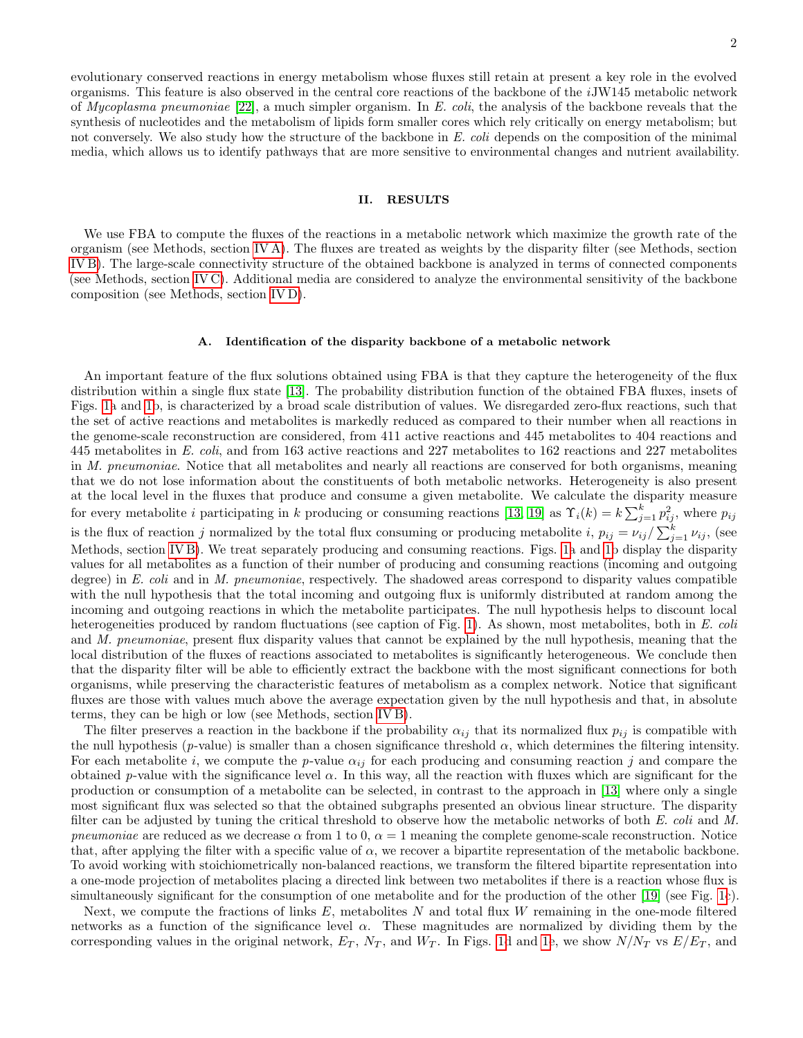evolutionary conserved reactions in energy metabolism whose fluxes still retain at present a key role in the evolved organisms. This feature is also observed in the central core reactions of the backbone of the iJW145 metabolic network of *Mycoplasma pneumoniae* [\[22\]](#page-11-0), a much simpler organism. In E. coli, the analysis of the backbone reveals that the synthesis of nucleotides and the metabolism of lipids form smaller cores which rely critically on energy metabolism; but not conversely. We also study how the structure of the backbone in E. coli depends on the composition of the minimal media, which allows us to identify pathways that are more sensitive to environmental changes and nutrient availability.

# II. RESULTS

We use FBA to compute the fluxes of the reactions in a metabolic network which maximize the growth rate of the organism (see Methods, section [IV A\)](#page-8-0). The fluxes are treated as weights by the disparity filter (see Methods, section [IV B\)](#page-8-1). The large-scale connectivity structure of the obtained backbone is analyzed in terms of connected components (see Methods, section [IV C\)](#page-9-0). Additional media are considered to analyze the environmental sensitivity of the backbone composition (see Methods, section [IV D\)](#page-9-1).

### A. Identification of the disparity backbone of a metabolic network

An important feature of the flux solutions obtained using FBA is that they capture the heterogeneity of the flux distribution within a single flux state [\[13\]](#page-10-10). The probability distribution function of the obtained FBA fluxes, insets of Figs. [1a](#page-2-0) and [1b](#page-2-0), is characterized by a broad scale distribution of values. We disregarded zero-flux reactions, such that the set of active reactions and metabolites is markedly reduced as compared to their number when all reactions in the genome-scale reconstruction are considered, from 411 active reactions and 445 metabolites to 404 reactions and 445 metabolites in E. coli, and from 163 active reactions and 227 metabolites to 162 reactions and 227 metabolites in M. pneumoniae. Notice that all metabolites and nearly all reactions are conserved for both organisms, meaning that we do not lose information about the constituents of both metabolic networks. Heterogeneity is also present at the local level in the fluxes that produce and consume a given metabolite. We calculate the disparity measure for every metabolite i participating in k producing or consuming reactions [\[13,](#page-10-10) [19\]](#page-10-15) as  $\Upsilon_i(k) = k \sum_{j=1}^k p_{ij}^2$ , where  $p_{ij}$ is the flux of reaction j normalized by the total flux consuming or producing metabolite i,  $p_{ij} = \nu_{ij}/\sum_{j=1}^{k} \nu_{ij}$ , (see Methods, section [IV B\)](#page-8-1). We treat separately producing and consuming reactions. Figs. [1a](#page-2-0) and [1b](#page-2-0) display the disparity values for all metabolites as a function of their number of producing and consuming reactions (incoming and outgoing degree) in E. coli and in M. pneumoniae, respectively. The shadowed areas correspond to disparity values compatible with the null hypothesis that the total incoming and outgoing flux is uniformly distributed at random among the incoming and outgoing reactions in which the metabolite participates. The null hypothesis helps to discount local heterogeneities produced by random fluctuations (see caption of Fig. [1\)](#page-2-0). As shown, most metabolites, both in E. coli and M. pneumoniae, present flux disparity values that cannot be explained by the null hypothesis, meaning that the local distribution of the fluxes of reactions associated to metabolites is significantly heterogeneous. We conclude then that the disparity filter will be able to efficiently extract the backbone with the most significant connections for both organisms, while preserving the characteristic features of metabolism as a complex network. Notice that significant fluxes are those with values much above the average expectation given by the null hypothesis and that, in absolute terms, they can be high or low (see Methods, section [IV B\)](#page-8-1).

The filter preserves a reaction in the backbone if the probability  $\alpha_{ij}$  that its normalized flux  $p_{ij}$  is compatible with the null hypothesis (p-value) is smaller than a chosen significance threshold  $\alpha$ , which determines the filtering intensity. For each metabolite i, we compute the p-value  $\alpha_{ij}$  for each producing and consuming reaction j and compare the obtained p-value with the significance level  $\alpha$ . In this way, all the reaction with fluxes which are significant for the production or consumption of a metabolite can be selected, in contrast to the approach in [\[13\]](#page-10-10) where only a single most significant flux was selected so that the obtained subgraphs presented an obvious linear structure. The disparity filter can be adjusted by tuning the critical threshold to observe how the metabolic networks of both E. coli and M. pneumoniae are reduced as we decrease  $\alpha$  from 1 to 0,  $\alpha = 1$  meaning the complete genome-scale reconstruction. Notice that, after applying the filter with a specific value of  $\alpha$ , we recover a bipartite representation of the metabolic backbone. To avoid working with stoichiometrically non-balanced reactions, we transform the filtered bipartite representation into a one-mode projection of metabolites placing a directed link between two metabolites if there is a reaction whose flux is simultaneously significant for the consumption of one metabolite and for the production of the other [\[19\]](#page-10-15) (see Fig. [1c](#page-2-0)).

Next, we compute the fractions of links  $E$ , metabolites  $N$  and total flux  $W$  remaining in the one-mode filtered networks as a function of the significance level  $\alpha$ . These magnitudes are normalized by dividing them by the corresponding values in the original network,  $E_T$ ,  $N_T$ , and  $W_T$ . In Figs. [1d](#page-2-0) and [1e](#page-2-0), we show  $N/N_T$  vs  $E/E_T$ , and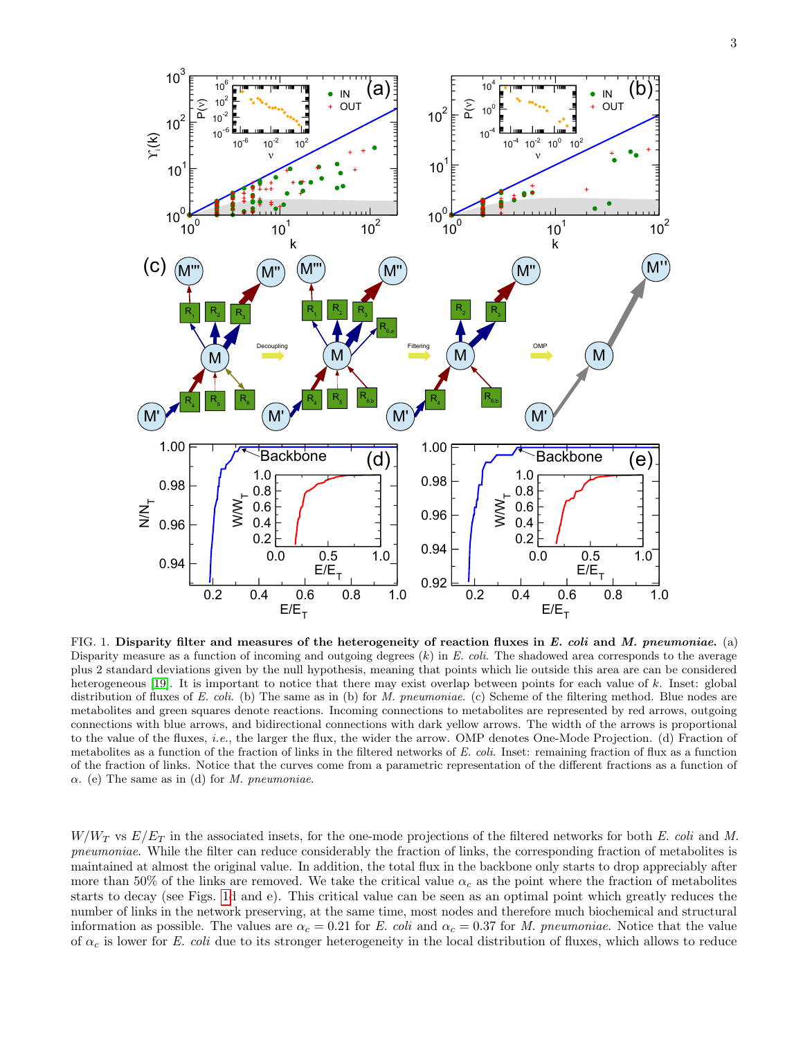

<span id="page-2-0"></span>FIG. 1. Disparity filter and measures of the heterogeneity of reaction fluxes in E. coli and M. pneumoniae. (a) Disparity measure as a function of incoming and outgoing degrees  $(k)$  in E. coli. The shadowed area corresponds to the average plus 2 standard deviations given by the null hypothesis, meaning that points which lie outside this area are can be considered heterogeneous [\[19\]](#page-10-15). It is important to notice that there may exist overlap between points for each value of k. Inset: global distribution of fluxes of E. coli. (b) The same as in (b) for M. pneumoniae. (c) Scheme of the filtering method. Blue nodes are metabolites and green squares denote reactions. Incoming connections to metabolites are represented by red arrows, outgoing connections with blue arrows, and bidirectional connections with dark yellow arrows. The width of the arrows is proportional to the value of the fluxes, i.e., the larger the flux, the wider the arrow. OMP denotes One-Mode Projection. (d) Fraction of metabolites as a function of the fraction of links in the filtered networks of E. coli. Inset: remaining fraction of flux as a function of the fraction of links. Notice that the curves come from a parametric representation of the different fractions as a function of  $\alpha$ . (e) The same as in (d) for *M. pneumoniae*.

 $W/W_T$  vs  $E/E_T$  in the associated insets, for the one-mode projections of the filtered networks for both E. coli and M. pneumoniae. While the filter can reduce considerably the fraction of links, the corresponding fraction of metabolites is maintained at almost the original value. In addition, the total flux in the backbone only starts to drop appreciably after more than 50% of the links are removed. We take the critical value  $\alpha_c$  as the point where the fraction of metabolites starts to decay (see Figs. [1d](#page-2-0) and e). This critical value can be seen as an optimal point which greatly reduces the number of links in the network preserving, at the same time, most nodes and therefore much biochemical and structural information as possible. The values are  $\alpha_c = 0.21$  for E. coli and  $\alpha_c = 0.37$  for M. pneumoniae. Notice that the value of  $\alpha_c$  is lower for E. coli due to its stronger heterogeneity in the local distribution of fluxes, which allows to reduce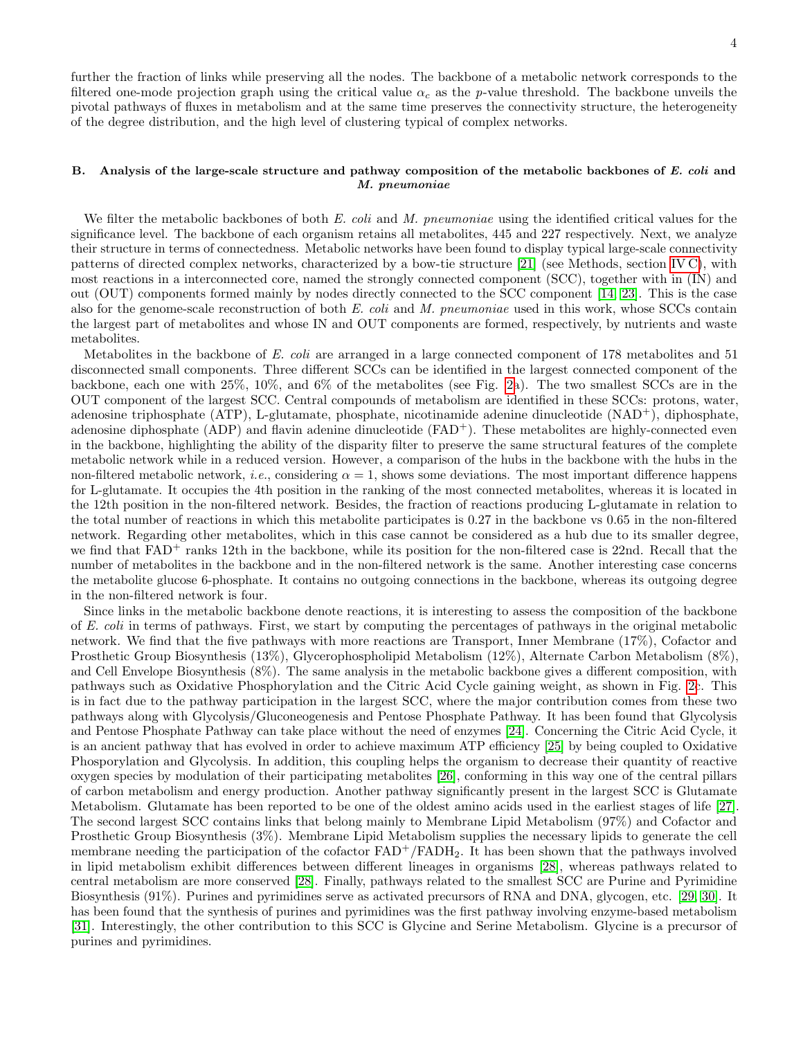further the fraction of links while preserving all the nodes. The backbone of a metabolic network corresponds to the filtered one-mode projection graph using the critical value  $\alpha_c$  as the p-value threshold. The backbone unveils the pivotal pathways of fluxes in metabolism and at the same time preserves the connectivity structure, the heterogeneity of the degree distribution, and the high level of clustering typical of complex networks.

# B. Analysis of the large-scale structure and pathway composition of the metabolic backbones of  $E.$  coli and M. pneumoniae

We filter the metabolic backbones of both  $E.$  coli and  $M.$  pneumoniae using the identified critical values for the significance level. The backbone of each organism retains all metabolites, 445 and 227 respectively. Next, we analyze their structure in terms of connectedness. Metabolic networks have been found to display typical large-scale connectivity patterns of directed complex networks, characterized by a bow-tie structure [\[21\]](#page-10-17) (see Methods, section [IV C\)](#page-9-0), with most reactions in a interconnected core, named the strongly connected component (SCC), together with in (IN) and out (OUT) components formed mainly by nodes directly connected to the SCC component [\[14,](#page-10-11) [23\]](#page-11-1). This is the case also for the genome-scale reconstruction of both E. coli and M. pneumoniae used in this work, whose SCCs contain the largest part of metabolites and whose IN and OUT components are formed, respectively, by nutrients and waste metabolites.

Metabolites in the backbone of E. coli are arranged in a large connected component of 178 metabolites and 51 disconnected small components. Three different SCCs can be identified in the largest connected component of the backbone, each one with 25%, 10%, and 6% of the metabolites (see Fig. [2a](#page-4-0)). The two smallest SCCs are in the OUT component of the largest SCC. Central compounds of metabolism are identified in these SCCs: protons, water, adenosine triphosphate (ATP), L-glutamate, phosphate, nicotinamide adenine dinucleotide (NAD<sup>+</sup>), diphosphate, adenosine diphosphate (ADP) and flavin adenine dinucleotide (FAD+). These metabolites are highly-connected even in the backbone, highlighting the ability of the disparity filter to preserve the same structural features of the complete metabolic network while in a reduced version. However, a comparison of the hubs in the backbone with the hubs in the non-filtered metabolic network, *i.e.*, considering  $\alpha = 1$ , shows some deviations. The most important difference happens for L-glutamate. It occupies the 4th position in the ranking of the most connected metabolites, whereas it is located in the 12th position in the non-filtered network. Besides, the fraction of reactions producing L-glutamate in relation to the total number of reactions in which this metabolite participates is 0.27 in the backbone vs 0.65 in the non-filtered network. Regarding other metabolites, which in this case cannot be considered as a hub due to its smaller degree, we find that  $FAD^+$  ranks 12th in the backbone, while its position for the non-filtered case is 22nd. Recall that the number of metabolites in the backbone and in the non-filtered network is the same. Another interesting case concerns the metabolite glucose 6-phosphate. It contains no outgoing connections in the backbone, whereas its outgoing degree in the non-filtered network is four.

Since links in the metabolic backbone denote reactions, it is interesting to assess the composition of the backbone of E. coli in terms of pathways. First, we start by computing the percentages of pathways in the original metabolic network. We find that the five pathways with more reactions are Transport, Inner Membrane (17%), Cofactor and Prosthetic Group Biosynthesis (13%), Glycerophospholipid Metabolism (12%), Alternate Carbon Metabolism (8%), and Cell Envelope Biosynthesis (8%). The same analysis in the metabolic backbone gives a different composition, with pathways such as Oxidative Phosphorylation and the Citric Acid Cycle gaining weight, as shown in Fig. [2c](#page-4-0). This is in fact due to the pathway participation in the largest SCC, where the major contribution comes from these two pathways along with Glycolysis/Gluconeogenesis and Pentose Phosphate Pathway. It has been found that Glycolysis and Pentose Phosphate Pathway can take place without the need of enzymes [\[24\]](#page-11-2). Concerning the Citric Acid Cycle, it is an ancient pathway that has evolved in order to achieve maximum ATP efficiency [\[25\]](#page-11-3) by being coupled to Oxidative Phosporylation and Glycolysis. In addition, this coupling helps the organism to decrease their quantity of reactive oxygen species by modulation of their participating metabolites [\[26\]](#page-11-4), conforming in this way one of the central pillars of carbon metabolism and energy production. Another pathway significantly present in the largest SCC is Glutamate Metabolism. Glutamate has been reported to be one of the oldest amino acids used in the earliest stages of life [\[27\]](#page-11-5). The second largest SCC contains links that belong mainly to Membrane Lipid Metabolism (97%) and Cofactor and Prosthetic Group Biosynthesis (3%). Membrane Lipid Metabolism supplies the necessary lipids to generate the cell membrane needing the participation of the cofactor  $FAD<sup>+</sup>/FADH<sub>2</sub>$ . It has been shown that the pathways involved in lipid metabolism exhibit differences between different lineages in organisms [\[28\]](#page-11-6), whereas pathways related to central metabolism are more conserved [\[28\]](#page-11-6). Finally, pathways related to the smallest SCC are Purine and Pyrimidine Biosynthesis (91%). Purines and pyrimidines serve as activated precursors of RNA and DNA, glycogen, etc. [\[29,](#page-11-7) [30\]](#page-11-8). It has been found that the synthesis of purines and pyrimidines was the first pathway involving enzyme-based metabolism [\[31\]](#page-11-9). Interestingly, the other contribution to this SCC is Glycine and Serine Metabolism. Glycine is a precursor of purines and pyrimidines.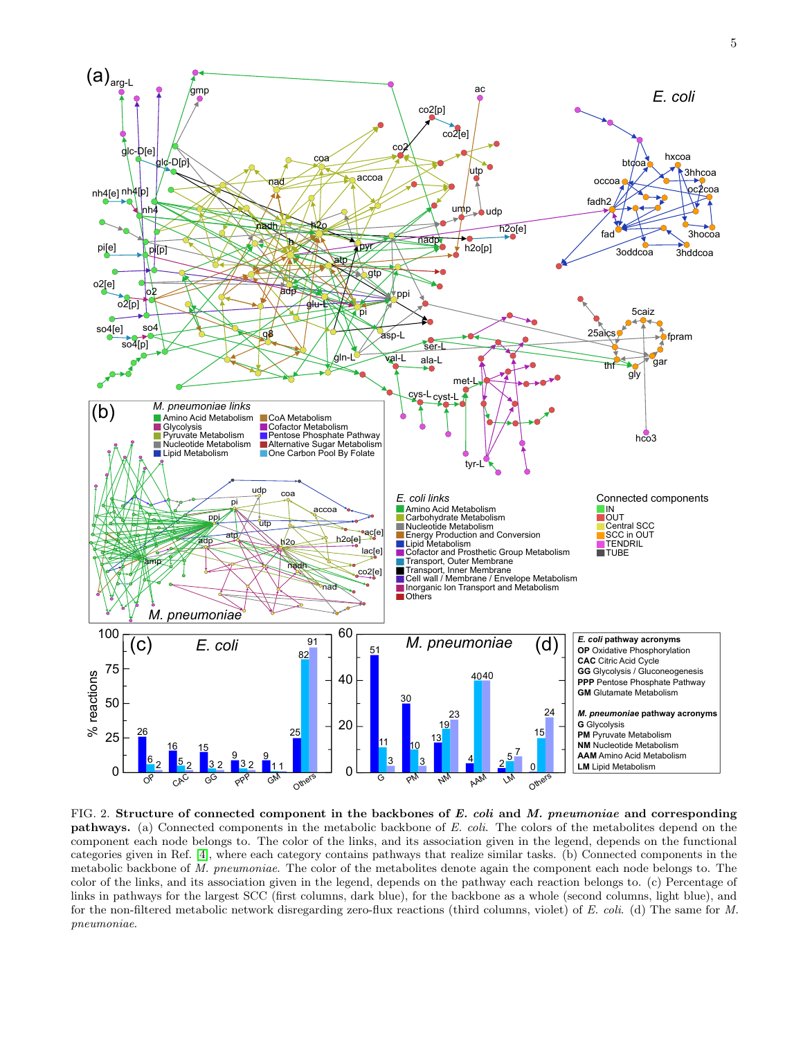

<span id="page-4-0"></span>FIG. 2. Structure of connected component in the backbones of  $E$ . coli and  $M$ . pneumoniae and corresponding pathways. (a) Connected components in the metabolic backbone of E. coli. The colors of the metabolites depend on the component each node belongs to. The color of the links, and its association given in the legend, depends on the functional categories given in Ref. [\[4\]](#page-10-1), where each category contains pathways that realize similar tasks. (b) Connected components in the metabolic backbone of M. pneumoniae. The color of the metabolites denote again the component each node belongs to. The color of the links, and its association given in the legend, depends on the pathway each reaction belongs to. (c) Percentage of links in pathways for the largest SCC (first columns, dark blue), for the backbone as a whole (second columns, light blue), and for the non-filtered metabolic network disregarding zero-flux reactions (third columns, violet) of E. coli. (d) The same for M. pneumoniae.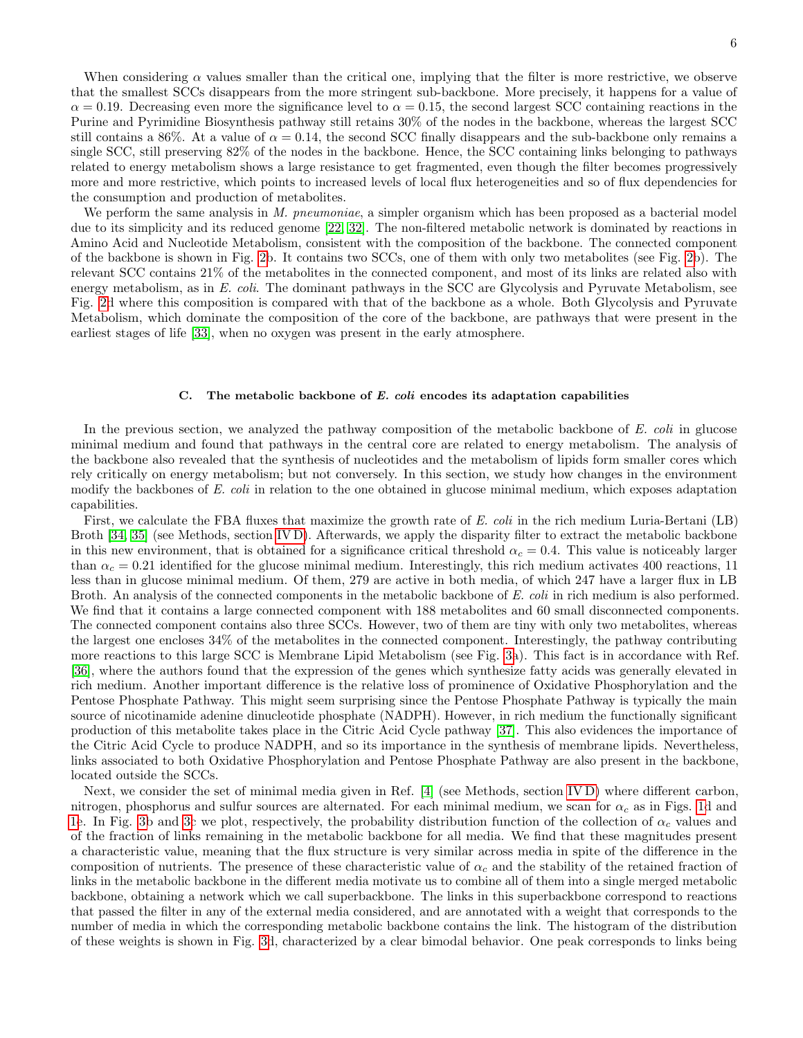When considering  $\alpha$  values smaller than the critical one, implying that the filter is more restrictive, we observe that the smallest SCCs disappears from the more stringent sub-backbone. More precisely, it happens for a value of  $\alpha = 0.19$ . Decreasing even more the significance level to  $\alpha = 0.15$ , the second largest SCC containing reactions in the Purine and Pyrimidine Biosynthesis pathway still retains 30% of the nodes in the backbone, whereas the largest SCC still contains a 86%. At a value of  $\alpha = 0.14$ , the second SCC finally disappears and the sub-backbone only remains a single SCC, still preserving 82% of the nodes in the backbone. Hence, the SCC containing links belonging to pathways related to energy metabolism shows a large resistance to get fragmented, even though the filter becomes progressively more and more restrictive, which points to increased levels of local flux heterogeneities and so of flux dependencies for the consumption and production of metabolites.

We perform the same analysis in M. pneumoniae, a simpler organism which has been proposed as a bacterial model due to its simplicity and its reduced genome [\[22,](#page-11-0) [32\]](#page-11-10). The non-filtered metabolic network is dominated by reactions in Amino Acid and Nucleotide Metabolism, consistent with the composition of the backbone. The connected component of the backbone is shown in Fig. [2b](#page-4-0). It contains two SCCs, one of them with only two metabolites (see Fig. [2b](#page-4-0)). The relevant SCC contains 21% of the metabolites in the connected component, and most of its links are related also with energy metabolism, as in E. coli. The dominant pathways in the SCC are Glycolysis and Pyruvate Metabolism, see Fig. [2d](#page-4-0) where this composition is compared with that of the backbone as a whole. Both Glycolysis and Pyruvate Metabolism, which dominate the composition of the core of the backbone, are pathways that were present in the earliest stages of life [\[33\]](#page-11-11), when no oxygen was present in the early atmosphere.

# C. The metabolic backbone of E. coli encodes its adaptation capabilities

In the previous section, we analyzed the pathway composition of the metabolic backbone of E. coli in glucose minimal medium and found that pathways in the central core are related to energy metabolism. The analysis of the backbone also revealed that the synthesis of nucleotides and the metabolism of lipids form smaller cores which rely critically on energy metabolism; but not conversely. In this section, we study how changes in the environment modify the backbones of E. coli in relation to the one obtained in glucose minimal medium, which exposes adaptation capabilities.

First, we calculate the FBA fluxes that maximize the growth rate of E. coli in the rich medium Luria-Bertani (LB) Broth [\[34,](#page-11-12) [35\]](#page-11-13) (see Methods, section [IV D\)](#page-9-1). Afterwards, we apply the disparity filter to extract the metabolic backbone in this new environment, that is obtained for a significance critical threshold  $\alpha_c = 0.4$ . This value is noticeably larger than  $\alpha_c = 0.21$  identified for the glucose minimal medium. Interestingly, this rich medium activates 400 reactions, 11 less than in glucose minimal medium. Of them, 279 are active in both media, of which 247 have a larger flux in LB Broth. An analysis of the connected components in the metabolic backbone of E. coli in rich medium is also performed. We find that it contains a large connected component with 188 metabolites and 60 small disconnected components. The connected component contains also three SCCs. However, two of them are tiny with only two metabolites, whereas the largest one encloses 34% of the metabolites in the connected component. Interestingly, the pathway contributing more reactions to this large SCC is Membrane Lipid Metabolism (see Fig. [3a](#page-6-0)). This fact is in accordance with Ref. [\[36\]](#page-11-14), where the authors found that the expression of the genes which synthesize fatty acids was generally elevated in rich medium. Another important difference is the relative loss of prominence of Oxidative Phosphorylation and the Pentose Phosphate Pathway. This might seem surprising since the Pentose Phosphate Pathway is typically the main source of nicotinamide adenine dinucleotide phosphate (NADPH). However, in rich medium the functionally significant production of this metabolite takes place in the Citric Acid Cycle pathway [\[37\]](#page-11-15). This also evidences the importance of the Citric Acid Cycle to produce NADPH, and so its importance in the synthesis of membrane lipids. Nevertheless, links associated to both Oxidative Phosphorylation and Pentose Phosphate Pathway are also present in the backbone, located outside the SCCs.

Next, we consider the set of minimal media given in Ref. [\[4\]](#page-10-1) (see Methods, section [IV D\)](#page-9-1) where different carbon, nitrogen, phosphorus and sulfur sources are alternated. For each minimal medium, we scan for  $\alpha_c$  as in Figs. [1d](#page-2-0) and [1e](#page-2-0). In Fig. [3b](#page-6-0) and [3c](#page-6-0) we plot, respectively, the probability distribution function of the collection of  $\alpha_c$  values and of the fraction of links remaining in the metabolic backbone for all media. We find that these magnitudes present a characteristic value, meaning that the flux structure is very similar across media in spite of the difference in the composition of nutrients. The presence of these characteristic value of  $\alpha_c$  and the stability of the retained fraction of links in the metabolic backbone in the different media motivate us to combine all of them into a single merged metabolic backbone, obtaining a network which we call superbackbone. The links in this superbackbone correspond to reactions that passed the filter in any of the external media considered, and are annotated with a weight that corresponds to the number of media in which the corresponding metabolic backbone contains the link. The histogram of the distribution of these weights is shown in Fig. [3d](#page-6-0), characterized by a clear bimodal behavior. One peak corresponds to links being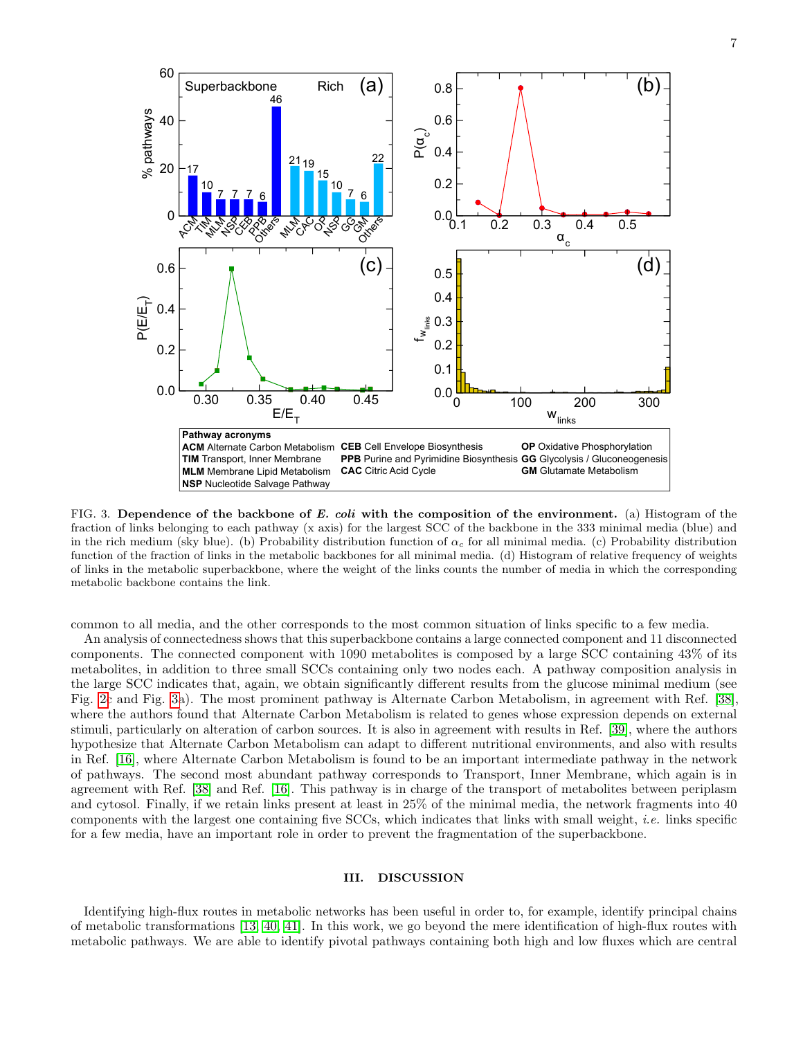

<span id="page-6-0"></span>FIG. 3. Dependence of the backbone of E. coli with the composition of the environment. (a) Histogram of the fraction of links belonging to each pathway (x axis) for the largest SCC of the backbone in the 333 minimal media (blue) and in the rich medium (sky blue). (b) Probability distribution function of  $\alpha_c$  for all minimal media. (c) Probability distribution function of the fraction of links in the metabolic backbones for all minimal media. (d) Histogram of relative frequency of weights of links in the metabolic superbackbone, where the weight of the links counts the number of media in which the corresponding metabolic backbone contains the link.

common to all media, and the other corresponds to the most common situation of links specific to a few media.

An analysis of connectedness shows that this superbackbone contains a large connected component and 11 disconnected components. The connected component with 1090 metabolites is composed by a large SCC containing 43% of its metabolites, in addition to three small SCCs containing only two nodes each. A pathway composition analysis in the large SCC indicates that, again, we obtain significantly different results from the glucose minimal medium (see Fig. [2c](#page-4-0) and Fig. [3a](#page-6-0)). The most prominent pathway is Alternate Carbon Metabolism, in agreement with Ref. [\[38\]](#page-11-16), where the authors found that Alternate Carbon Metabolism is related to genes whose expression depends on external stimuli, particularly on alteration of carbon sources. It is also in agreement with results in Ref. [\[39\]](#page-11-17), where the authors hypothesize that Alternate Carbon Metabolism can adapt to different nutritional environments, and also with results in Ref. [\[16\]](#page-10-12), where Alternate Carbon Metabolism is found to be an important intermediate pathway in the network of pathways. The second most abundant pathway corresponds to Transport, Inner Membrane, which again is in agreement with Ref. [\[38\]](#page-11-16) and Ref. [\[16\]](#page-10-12). This pathway is in charge of the transport of metabolites between periplasm and cytosol. Finally, if we retain links present at least in 25% of the minimal media, the network fragments into 40 components with the largest one containing five SCCs, which indicates that links with small weight, *i.e.* links specific for a few media, have an important role in order to prevent the fragmentation of the superbackbone.

# III. DISCUSSION

Identifying high-flux routes in metabolic networks has been useful in order to, for example, identify principal chains of metabolic transformations [\[13,](#page-10-10) [40,](#page-11-18) [41\]](#page-11-19). In this work, we go beyond the mere identification of high-flux routes with metabolic pathways. We are able to identify pivotal pathways containing both high and low fluxes which are central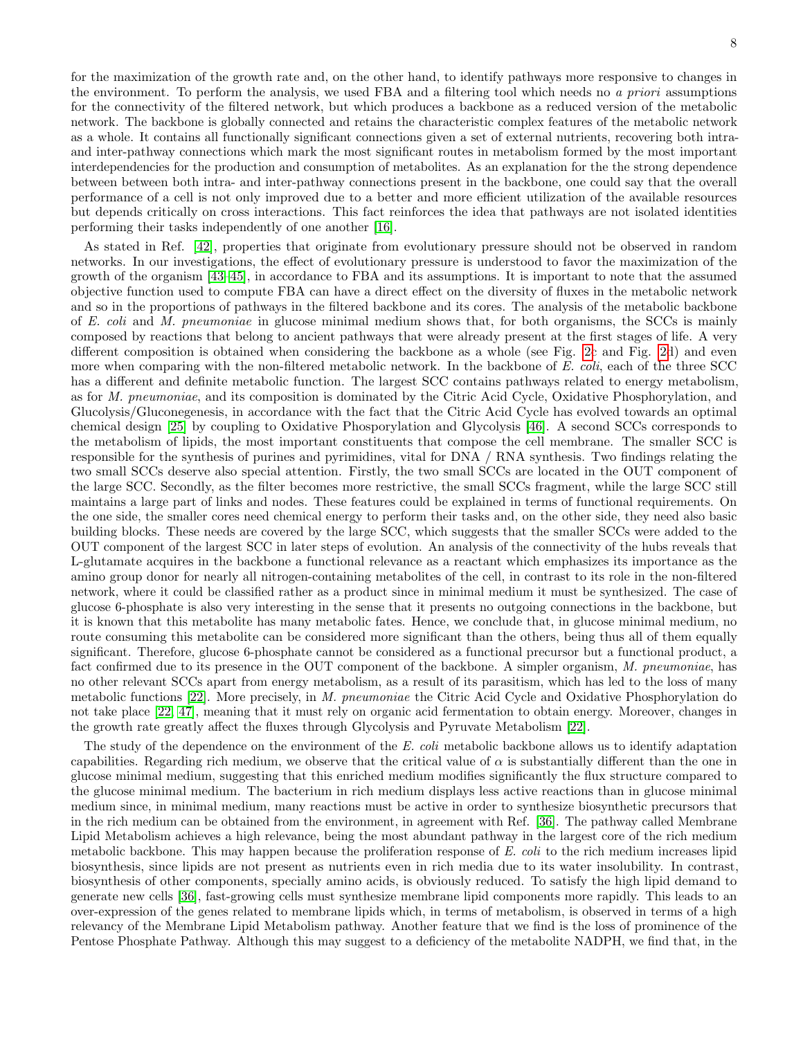for the maximization of the growth rate and, on the other hand, to identify pathways more responsive to changes in the environment. To perform the analysis, we used FBA and a filtering tool which needs no a priori assumptions for the connectivity of the filtered network, but which produces a backbone as a reduced version of the metabolic network. The backbone is globally connected and retains the characteristic complex features of the metabolic network as a whole. It contains all functionally significant connections given a set of external nutrients, recovering both intraand inter-pathway connections which mark the most significant routes in metabolism formed by the most important interdependencies for the production and consumption of metabolites. As an explanation for the the strong dependence between between both intra- and inter-pathway connections present in the backbone, one could say that the overall performance of a cell is not only improved due to a better and more efficient utilization of the available resources but depends critically on cross interactions. This fact reinforces the idea that pathways are not isolated identities performing their tasks independently of one another [\[16\]](#page-10-12).

As stated in Ref. [\[42\]](#page-11-20), properties that originate from evolutionary pressure should not be observed in random networks. In our investigations, the effect of evolutionary pressure is understood to favor the maximization of the growth of the organism [\[43–](#page-11-21)[45\]](#page-11-22), in accordance to FBA and its assumptions. It is important to note that the assumed objective function used to compute FBA can have a direct effect on the diversity of fluxes in the metabolic network and so in the proportions of pathways in the filtered backbone and its cores. The analysis of the metabolic backbone of E. coli and M. pneumoniae in glucose minimal medium shows that, for both organisms, the SCCs is mainly composed by reactions that belong to ancient pathways that were already present at the first stages of life. A very different composition is obtained when considering the backbone as a whole (see Fig. [2c](#page-4-0) and Fig. [2d](#page-4-0)) and even more when comparing with the non-filtered metabolic network. In the backbone of E. coli, each of the three SCC has a different and definite metabolic function. The largest SCC contains pathways related to energy metabolism, as for M. pneumoniae, and its composition is dominated by the Citric Acid Cycle, Oxidative Phosphorylation, and Glucolysis/Gluconegenesis, in accordance with the fact that the Citric Acid Cycle has evolved towards an optimal chemical design [\[25\]](#page-11-3) by coupling to Oxidative Phosporylation and Glycolysis [\[46\]](#page-11-23). A second SCCs corresponds to the metabolism of lipids, the most important constituents that compose the cell membrane. The smaller SCC is responsible for the synthesis of purines and pyrimidines, vital for DNA / RNA synthesis. Two findings relating the two small SCCs deserve also special attention. Firstly, the two small SCCs are located in the OUT component of the large SCC. Secondly, as the filter becomes more restrictive, the small SCCs fragment, while the large SCC still maintains a large part of links and nodes. These features could be explained in terms of functional requirements. On the one side, the smaller cores need chemical energy to perform their tasks and, on the other side, they need also basic building blocks. These needs are covered by the large SCC, which suggests that the smaller SCCs were added to the OUT component of the largest SCC in later steps of evolution. An analysis of the connectivity of the hubs reveals that L-glutamate acquires in the backbone a functional relevance as a reactant which emphasizes its importance as the amino group donor for nearly all nitrogen-containing metabolites of the cell, in contrast to its role in the non-filtered network, where it could be classified rather as a product since in minimal medium it must be synthesized. The case of glucose 6-phosphate is also very interesting in the sense that it presents no outgoing connections in the backbone, but it is known that this metabolite has many metabolic fates. Hence, we conclude that, in glucose minimal medium, no route consuming this metabolite can be considered more significant than the others, being thus all of them equally significant. Therefore, glucose 6-phosphate cannot be considered as a functional precursor but a functional product, a fact confirmed due to its presence in the OUT component of the backbone. A simpler organism, M. pneumoniae, has no other relevant SCCs apart from energy metabolism, as a result of its parasitism, which has led to the loss of many metabolic functions [\[22\]](#page-11-0). More precisely, in M. pneumoniae the Citric Acid Cycle and Oxidative Phosphorylation do not take place [\[22,](#page-11-0) [47\]](#page-11-24), meaning that it must rely on organic acid fermentation to obtain energy. Moreover, changes in the growth rate greatly affect the fluxes through Glycolysis and Pyruvate Metabolism [\[22\]](#page-11-0).

The study of the dependence on the environment of the E. coli metabolic backbone allows us to identify adaptation capabilities. Regarding rich medium, we observe that the critical value of  $\alpha$  is substantially different than the one in glucose minimal medium, suggesting that this enriched medium modifies significantly the flux structure compared to the glucose minimal medium. The bacterium in rich medium displays less active reactions than in glucose minimal medium since, in minimal medium, many reactions must be active in order to synthesize biosynthetic precursors that in the rich medium can be obtained from the environment, in agreement with Ref. [\[36\]](#page-11-14). The pathway called Membrane Lipid Metabolism achieves a high relevance, being the most abundant pathway in the largest core of the rich medium metabolic backbone. This may happen because the proliferation response of E. coli to the rich medium increases lipid biosynthesis, since lipids are not present as nutrients even in rich media due to its water insolubility. In contrast, biosynthesis of other components, specially amino acids, is obviously reduced. To satisfy the high lipid demand to generate new cells [\[36\]](#page-11-14), fast-growing cells must synthesize membrane lipid components more rapidly. This leads to an over-expression of the genes related to membrane lipids which, in terms of metabolism, is observed in terms of a high relevancy of the Membrane Lipid Metabolism pathway. Another feature that we find is the loss of prominence of the Pentose Phosphate Pathway. Although this may suggest to a deficiency of the metabolite NADPH, we find that, in the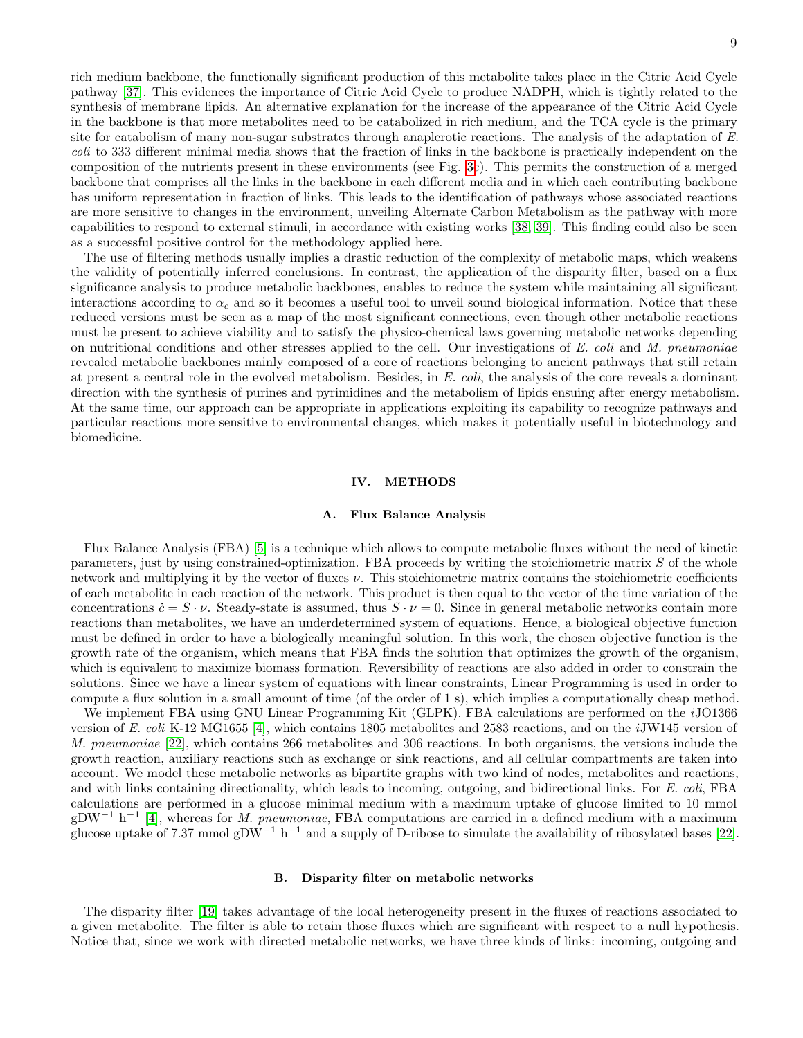rich medium backbone, the functionally significant production of this metabolite takes place in the Citric Acid Cycle pathway [\[37\]](#page-11-15). This evidences the importance of Citric Acid Cycle to produce NADPH, which is tightly related to the synthesis of membrane lipids. An alternative explanation for the increase of the appearance of the Citric Acid Cycle in the backbone is that more metabolites need to be catabolized in rich medium, and the TCA cycle is the primary site for catabolism of many non-sugar substrates through anaplerotic reactions. The analysis of the adaptation of E. coli to 333 different minimal media shows that the fraction of links in the backbone is practically independent on the composition of the nutrients present in these environments (see Fig. [3c](#page-6-0)). This permits the construction of a merged backbone that comprises all the links in the backbone in each different media and in which each contributing backbone has uniform representation in fraction of links. This leads to the identification of pathways whose associated reactions are more sensitive to changes in the environment, unveiling Alternate Carbon Metabolism as the pathway with more capabilities to respond to external stimuli, in accordance with existing works [\[38,](#page-11-16) [39\]](#page-11-17). This finding could also be seen as a successful positive control for the methodology applied here.

The use of filtering methods usually implies a drastic reduction of the complexity of metabolic maps, which weakens the validity of potentially inferred conclusions. In contrast, the application of the disparity filter, based on a flux significance analysis to produce metabolic backbones, enables to reduce the system while maintaining all significant interactions according to  $\alpha_c$  and so it becomes a useful tool to unveil sound biological information. Notice that these reduced versions must be seen as a map of the most significant connections, even though other metabolic reactions must be present to achieve viability and to satisfy the physico-chemical laws governing metabolic networks depending on nutritional conditions and other stresses applied to the cell. Our investigations of  $E$ . coli and  $M$ . pneumoniae revealed metabolic backbones mainly composed of a core of reactions belonging to ancient pathways that still retain at present a central role in the evolved metabolism. Besides, in E. coli, the analysis of the core reveals a dominant direction with the synthesis of purines and pyrimidines and the metabolism of lipids ensuing after energy metabolism. At the same time, our approach can be appropriate in applications exploiting its capability to recognize pathways and particular reactions more sensitive to environmental changes, which makes it potentially useful in biotechnology and biomedicine.

### IV. METHODS

### <span id="page-8-0"></span>A. Flux Balance Analysis

Flux Balance Analysis (FBA) [\[5\]](#page-10-2) is a technique which allows to compute metabolic fluxes without the need of kinetic parameters, just by using constrained-optimization. FBA proceeds by writing the stoichiometric matrix S of the whole network and multiplying it by the vector of fluxes  $\nu$ . This stoichiometric matrix contains the stoichiometric coefficients of each metabolite in each reaction of the network. This product is then equal to the vector of the time variation of the concentrations  $c = S \cdot \nu$ . Steady-state is assumed, thus  $S \cdot \nu = 0$ . Since in general metabolic networks contain more reactions than metabolites, we have an underdetermined system of equations. Hence, a biological objective function must be defined in order to have a biologically meaningful solution. In this work, the chosen objective function is the growth rate of the organism, which means that FBA finds the solution that optimizes the growth of the organism, which is equivalent to maximize biomass formation. Reversibility of reactions are also added in order to constrain the solutions. Since we have a linear system of equations with linear constraints, Linear Programming is used in order to compute a flux solution in a small amount of time (of the order of 1 s), which implies a computationally cheap method.

We implement FBA using GNU Linear Programming Kit (GLPK). FBA calculations are performed on the *i*JO1366 version of E. coli K-12 MG1655 [\[4\]](#page-10-1), which contains 1805 metabolites and 2583 reactions, and on the iJW145 version of M. pneumoniae [\[22\]](#page-11-0), which contains 266 metabolites and 306 reactions. In both organisms, the versions include the growth reaction, auxiliary reactions such as exchange or sink reactions, and all cellular compartments are taken into account. We model these metabolic networks as bipartite graphs with two kind of nodes, metabolites and reactions, and with links containing directionality, which leads to incoming, outgoing, and bidirectional links. For E. coli, FBA calculations are performed in a glucose minimal medium with a maximum uptake of glucose limited to 10 mmol  $gDW^{-1}$  h<sup>-1</sup> [\[4\]](#page-10-1), whereas for M. pneumoniae, FBA computations are carried in a defined medium with a maximum glucose uptake of 7.37 mmol gDW<sup>-1</sup> h<sup>-1</sup> and a supply of D-ribose to simulate the availability of ribosylated bases [\[22\]](#page-11-0).

### <span id="page-8-1"></span>B. Disparity filter on metabolic networks

The disparity filter [\[19\]](#page-10-15) takes advantage of the local heterogeneity present in the fluxes of reactions associated to a given metabolite. The filter is able to retain those fluxes which are significant with respect to a null hypothesis. Notice that, since we work with directed metabolic networks, we have three kinds of links: incoming, outgoing and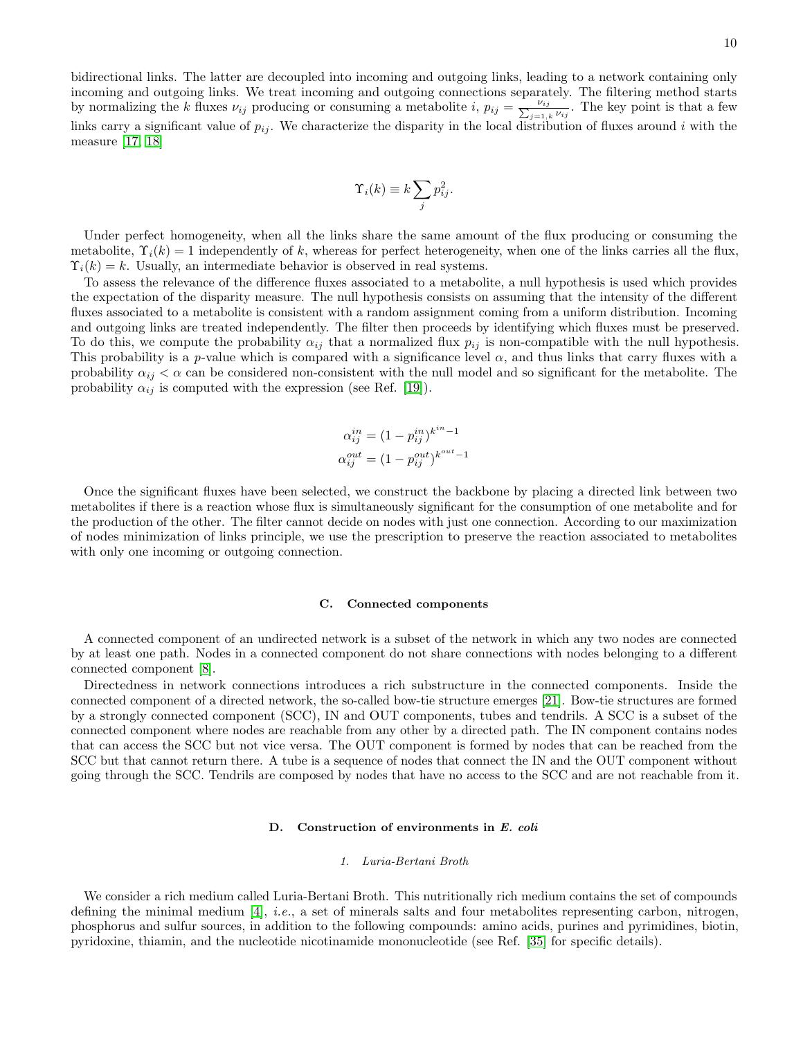bidirectional links. The latter are decoupled into incoming and outgoing links, leading to a network containing only incoming and outgoing links. We treat incoming and outgoing connections separately. The filtering method starts by normalizing the k fluxes  $\nu_{ij}$  producing or consuming a metabolite i,  $p_{ij} = \frac{\nu_{ij}}{\sum_{j=1,k} \nu_{ij}}$ . The key point is that a few links carry a significant value of  $p_{ij}$ . We characterize the disparity in the local distribution of fluxes around i with the measure [\[17,](#page-10-13) [18\]](#page-10-14)

$$
\Upsilon_i(k) \equiv k \sum_j p_{ij}^2.
$$

Under perfect homogeneity, when all the links share the same amount of the flux producing or consuming the metabolite,  $\Upsilon_i(k) = 1$  independently of k, whereas for perfect heterogeneity, when one of the links carries all the flux,  $\Upsilon_i(k) = k$ . Usually, an intermediate behavior is observed in real systems.

To assess the relevance of the difference fluxes associated to a metabolite, a null hypothesis is used which provides the expectation of the disparity measure. The null hypothesis consists on assuming that the intensity of the different fluxes associated to a metabolite is consistent with a random assignment coming from a uniform distribution. Incoming and outgoing links are treated independently. The filter then proceeds by identifying which fluxes must be preserved. To do this, we compute the probability  $\alpha_{ij}$  that a normalized flux  $p_{ij}$  is non-compatible with the null hypothesis. This probability is a p-value which is compared with a significance level  $\alpha$ , and thus links that carry fluxes with a probability  $\alpha_{ij} < \alpha$  can be considered non-consistent with the null model and so significant for the metabolite. The probability  $\alpha_{ij}$  is computed with the expression (see Ref. [\[19\]](#page-10-15)).

$$
\alpha_{ij}^{in} = (1 - p_{ij}^{in})^{k^{in} - 1}
$$

$$
\alpha_{ij}^{out} = (1 - p_{ij}^{out})^{k^{out} - 1}
$$

Once the significant fluxes have been selected, we construct the backbone by placing a directed link between two metabolites if there is a reaction whose flux is simultaneously significant for the consumption of one metabolite and for the production of the other. The filter cannot decide on nodes with just one connection. According to our maximization of nodes minimization of links principle, we use the prescription to preserve the reaction associated to metabolites with only one incoming or outgoing connection.

### <span id="page-9-0"></span>C. Connected components

A connected component of an undirected network is a subset of the network in which any two nodes are connected by at least one path. Nodes in a connected component do not share connections with nodes belonging to a different connected component [\[8\]](#page-10-5).

Directedness in network connections introduces a rich substructure in the connected components. Inside the connected component of a directed network, the so-called bow-tie structure emerges [\[21\]](#page-10-17). Bow-tie structures are formed by a strongly connected component (SCC), IN and OUT components, tubes and tendrils. A SCC is a subset of the connected component where nodes are reachable from any other by a directed path. The IN component contains nodes that can access the SCC but not vice versa. The OUT component is formed by nodes that can be reached from the SCC but that cannot return there. A tube is a sequence of nodes that connect the IN and the OUT component without going through the SCC. Tendrils are composed by nodes that have no access to the SCC and are not reachable from it.

# <span id="page-9-1"></span>D. Construction of environments in E. coli

### 1. Luria-Bertani Broth

We consider a rich medium called Luria-Bertani Broth. This nutritionally rich medium contains the set of compounds defining the minimal medium  $[4]$ , *i.e.*, a set of minerals salts and four metabolites representing carbon, nitrogen, phosphorus and sulfur sources, in addition to the following compounds: amino acids, purines and pyrimidines, biotin, pyridoxine, thiamin, and the nucleotide nicotinamide mononucleotide (see Ref. [\[35\]](#page-11-13) for specific details).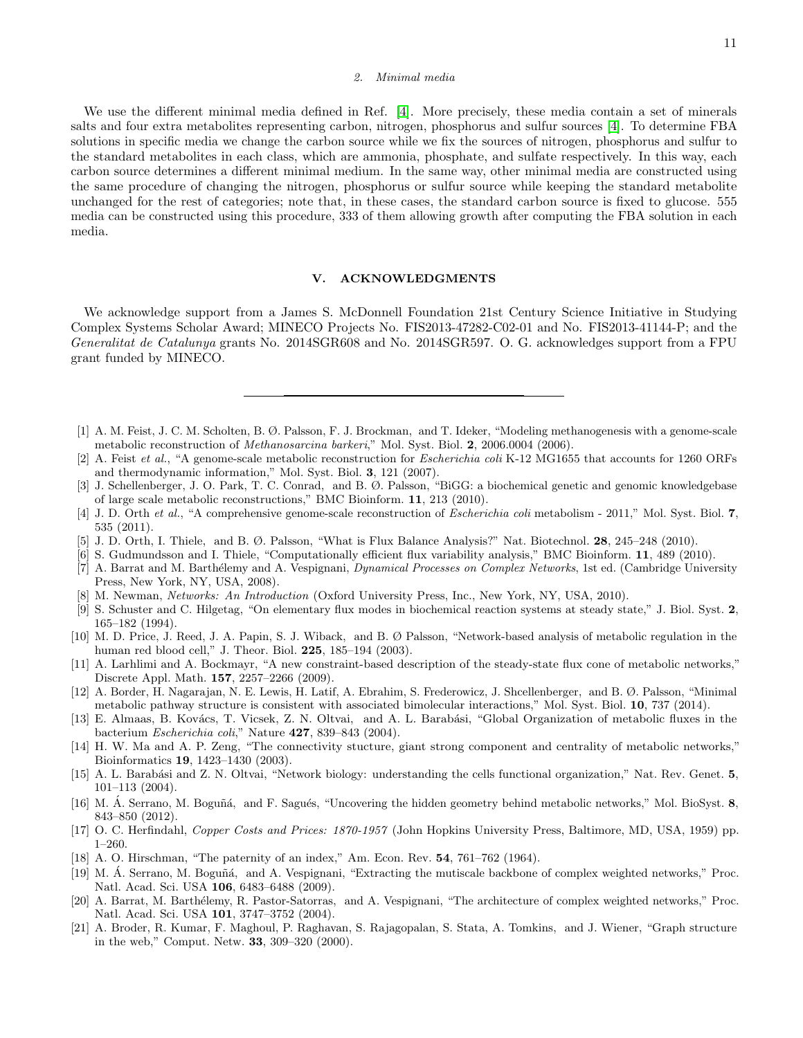### 2. Minimal media

We use the different minimal media defined in Ref. [\[4\]](#page-10-1). More precisely, these media contain a set of minerals salts and four extra metabolites representing carbon, nitrogen, phosphorus and sulfur sources [\[4\]](#page-10-1). To determine FBA solutions in specific media we change the carbon source while we fix the sources of nitrogen, phosphorus and sulfur to the standard metabolites in each class, which are ammonia, phosphate, and sulfate respectively. In this way, each carbon source determines a different minimal medium. In the same way, other minimal media are constructed using the same procedure of changing the nitrogen, phosphorus or sulfur source while keeping the standard metabolite unchanged for the rest of categories; note that, in these cases, the standard carbon source is fixed to glucose. 555 media can be constructed using this procedure, 333 of them allowing growth after computing the FBA solution in each media.

# V. ACKNOWLEDGMENTS

We acknowledge support from a James S. McDonnell Foundation 21st Century Science Initiative in Studying Complex Systems Scholar Award; MINECO Projects No. FIS2013-47282-C02-01 and No. FIS2013-41144-P; and the Generalitat de Catalunya grants No. 2014SGR608 and No. 2014SGR597. O. G. acknowledges support from a FPU grant funded by MINECO.

- <span id="page-10-0"></span>[1] A. M. Feist, J. C. M. Scholten, B. Ø. Palsson, F. J. Brockman, and T. Ideker, "Modeling methanogenesis with a genome-scale metabolic reconstruction of Methanosarcina barkeri," Mol. Syst. Biol. 2, 2006.0004 (2006).
- [2] A. Feist *et al.*, "A genome-scale metabolic reconstruction for *Escherichia coli* K-12 MG1655 that accounts for 1260 ORFs and thermodynamic information," Mol. Syst. Biol. 3, 121 (2007).
- [3] J. Schellenberger, J. O. Park, T. C. Conrad, and B. Ø. Palsson, "BiGG: a biochemical genetic and genomic knowledgebase of large scale metabolic reconstructions," BMC Bioinform. 11, 213 (2010).
- <span id="page-10-1"></span>[4] J. D. Orth et al., "A comprehensive genome-scale reconstruction of *Escherichia coli* metabolism - 2011," Mol. Syst. Biol. 7, 535 (2011).
- <span id="page-10-2"></span>[5] J. D. Orth, I. Thiele, and B. Ø. Palsson, "What is Flux Balance Analysis?" Nat. Biotechnol. 28, 245–248 (2010).
- <span id="page-10-3"></span>[6] S. Gudmundsson and I. Thiele, "Computationally efficient flux variability analysis," BMC Bioinform. 11, 489 (2010).
- <span id="page-10-4"></span>[7] A. Barrat and M. Barthélemy and A. Vespignani, Dynamical Processes on Complex Networks, 1st ed. (Cambridge University Press, New York, NY, USA, 2008).
- <span id="page-10-5"></span>[8] M. Newman, Networks: An Introduction (Oxford University Press, Inc., New York, NY, USA, 2010).
- <span id="page-10-6"></span>[9] S. Schuster and C. Hilgetag, "On elementary flux modes in biochemical reaction systems at steady state," J. Biol. Syst. 2, 165–182 (1994).
- <span id="page-10-7"></span>[10] M. D. Price, J. Reed, J. A. Papin, S. J. Wiback, and B. Ø Palsson, "Network-based analysis of metabolic regulation in the human red blood cell," J. Theor. Biol. 225, 185–194 (2003).
- <span id="page-10-8"></span>[11] A. Larhlimi and A. Bockmayr, "A new constraint-based description of the steady-state flux cone of metabolic networks," Discrete Appl. Math. 157, 2257–2266 (2009).
- <span id="page-10-9"></span>[12] A. Border, H. Nagarajan, N. E. Lewis, H. Latif, A. Ebrahim, S. Frederowicz, J. Shcellenberger, and B. Ø. Palsson, "Minimal metabolic pathway structure is consistent with associated bimolecular interactions," Mol. Syst. Biol. 10, 737 (2014).
- <span id="page-10-10"></span>[13] E. Almaas, B. Kovács, T. Vicsek, Z. N. Oltvai, and A. L. Barabási, "Global Organization of metabolic fluxes in the bacterium Escherichia coli," Nature 427, 839–843 (2004).
- <span id="page-10-11"></span>[14] H. W. Ma and A. P. Zeng, "The connectivity stucture, giant strong component and centrality of metabolic networks," Bioinformatics 19, 1423–1430 (2003).
- [15] A. L. Barabási and Z. N. Oltvai, "Network biology: understanding the cells functional organization," Nat. Rev. Genet. 5, 101–113 (2004).
- <span id="page-10-12"></span>[16] M. A. Serrano, M. Boguñá, and F. Sagués, "Uncovering the hidden geometry behind metabolic networks," Mol. BioSyst. 8, 843–850 (2012).
- <span id="page-10-13"></span>[17] O. C. Herfindahl, Copper Costs and Prices: 1870-1957 (John Hopkins University Press, Baltimore, MD, USA, 1959) pp. 1–260.
- <span id="page-10-14"></span>[18] A. O. Hirschman, "The paternity of an index," Am. Econ. Rev. 54, 761–762 (1964).
- <span id="page-10-15"></span>[19] M. Á. Serrano, M. Boguñá, and A. Vespignani, "Extracting the mutiscale backbone of complex weighted networks," Proc. Natl. Acad. Sci. USA 106, 6483–6488 (2009).
- <span id="page-10-16"></span>[20] A. Barrat, M. Barthélemy, R. Pastor-Satorras, and A. Vespignani, "The architecture of complex weighted networks," Proc. Natl. Acad. Sci. USA 101, 3747–3752 (2004).
- <span id="page-10-17"></span>[21] A. Broder, R. Kumar, F. Maghoul, P. Raghavan, S. Rajagopalan, S. Stata, A. Tomkins, and J. Wiener, "Graph structure in the web," Comput. Netw. 33, 309–320 (2000).